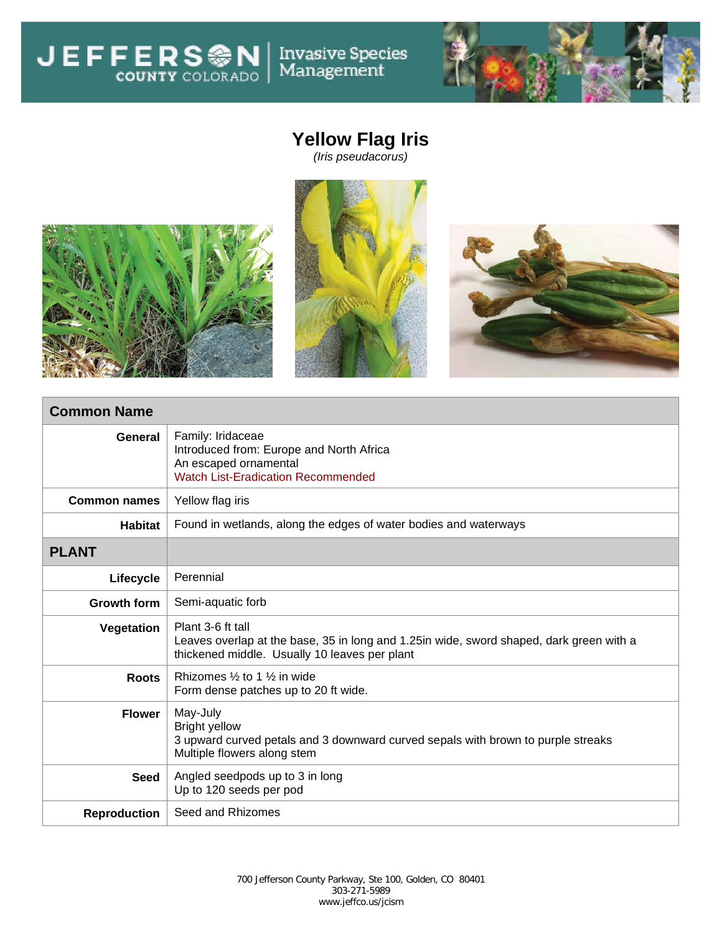**JEFFERSON** Invasive Species<br>Management



## **Yellow Flag Iris**









## **Common Name**

| General             | Family: Iridaceae<br>Introduced from: Europe and North Africa<br>An escaped ornamental<br><b>Watch List-Eradication Recommended</b>                            |  |  |  |
|---------------------|----------------------------------------------------------------------------------------------------------------------------------------------------------------|--|--|--|
| <b>Common names</b> | Yellow flag iris                                                                                                                                               |  |  |  |
| <b>Habitat</b>      | Found in wetlands, along the edges of water bodies and waterways                                                                                               |  |  |  |
| <b>PLANT</b>        |                                                                                                                                                                |  |  |  |
| Lifecycle           | Perennial                                                                                                                                                      |  |  |  |
| Growth form         | Semi-aquatic forb                                                                                                                                              |  |  |  |
| Vegetation          | Plant 3-6 ft tall<br>Leaves overlap at the base, 35 in long and 1.25 in wide, sword shaped, dark green with a<br>thickened middle. Usually 10 leaves per plant |  |  |  |
| <b>Roots</b>        | Rhizomes 1/ <sub>2</sub> to 1 1/ <sub>2</sub> in wide<br>Form dense patches up to 20 ft wide.                                                                  |  |  |  |
| <b>Flower</b>       | May-July<br><b>Bright yellow</b><br>3 upward curved petals and 3 downward curved sepals with brown to purple streaks<br>Multiple flowers along stem            |  |  |  |
| <b>Seed</b>         | Angled seedpods up to 3 in long<br>Up to 120 seeds per pod                                                                                                     |  |  |  |
| <b>Reproduction</b> | Seed and Rhizomes                                                                                                                                              |  |  |  |